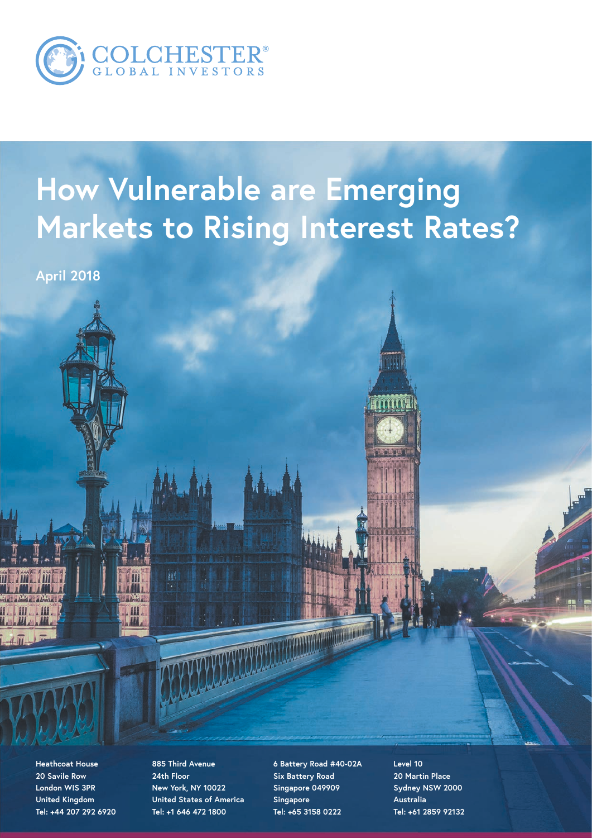

## **How Vulnerable are Emerging Markets to Rising Interest Rates?**

**April 2018**

**Heathcoat House 20 Savile Row London WIS 3PR United Kingdom Tel: +44 207 292 6920**

**885 Third Avenue 24th Floor New York, NY 10022 United States of America Tel: +1 646 472 1800**

創

**6 Battery Road #40-02A Six Battery Road Singapore 049909 Singapore Tel: +65 3158 0222**

**Level 10 20 Martin Place Sydney NSW 2000 Australia Tel: +61 2859 92132**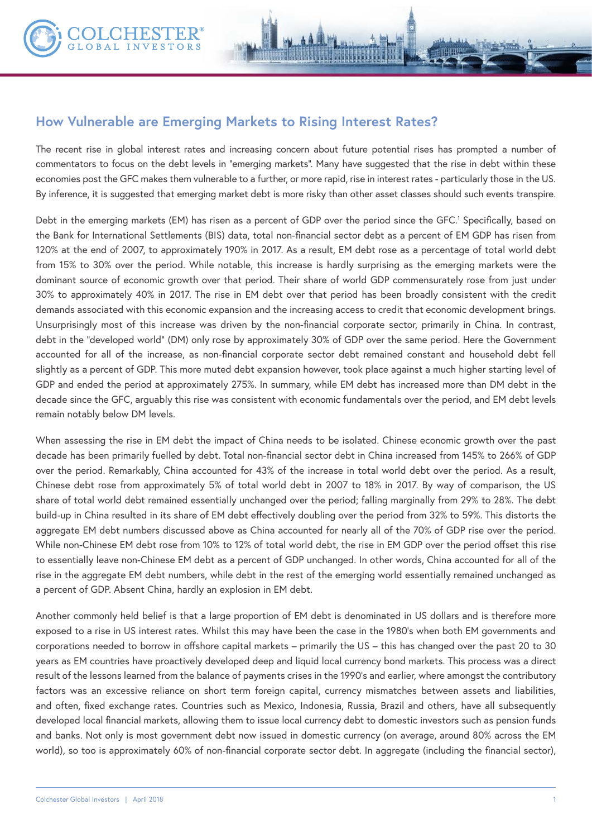

The recent rise in global interest rates and increasing concern about future potential rises has prompted a number of commentators to focus on the debt levels in "emerging markets". Many have suggested that the rise in debt within these economies post the GFC makes them vulnerable to a further, or more rapid, rise in interest rates - particularly those in the US. By inference, it is suggested that emerging market debt is more risky than other asset classes should such events transpire.

Debt in the emerging markets (EM) has risen as a percent of GDP over the period since the GFC.<sup>1</sup> Specifically, based on the Bank for International Settlements (BIS) data, total non-financial sector debt as a percent of EM GDP has risen from 120% at the end of 2007, to approximately 190% in 2017. As a result, EM debt rose as a percentage of total world debt from 15% to 30% over the period. While notable, this increase is hardly surprising as the emerging markets were the dominant source of economic growth over that period. Their share of world GDP commensurately rose from just under 30% to approximately 40% in 2017. The rise in EM debt over that period has been broadly consistent with the credit demands associated with this economic expansion and the increasing access to credit that economic development brings. Unsurprisingly most of this increase was driven by the non-financial corporate sector, primarily in China. In contrast, debt in the "developed world" (DM) only rose by approximately 30% of GDP over the same period. Here the Government accounted for all of the increase, as non-financial corporate sector debt remained constant and household debt fell slightly as a percent of GDP. This more muted debt expansion however, took place against a much higher starting level of GDP and ended the period at approximately 275%. In summary, while EM debt has increased more than DM debt in the decade since the GFC, arguably this rise was consistent with economic fundamentals over the period, and EM debt levels remain notably below DM levels.

When assessing the rise in EM debt the impact of China needs to be isolated. Chinese economic growth over the past decade has been primarily fuelled by debt. Total non-financial sector debt in China increased from 145% to 266% of GDP over the period. Remarkably, China accounted for 43% of the increase in total world debt over the period. As a result, Chinese debt rose from approximately 5% of total world debt in 2007 to 18% in 2017. By way of comparison, the US share of total world debt remained essentially unchanged over the period; falling marginally from 29% to 28%. The debt build-up in China resulted in its share of EM debt effectively doubling over the period from 32% to 59%. This distorts the aggregate EM debt numbers discussed above as China accounted for nearly all of the 70% of GDP rise over the period. While non-Chinese EM debt rose from 10% to 12% of total world debt, the rise in EM GDP over the period offset this rise to essentially leave non-Chinese EM debt as a percent of GDP unchanged. In other words, China accounted for all of the rise in the aggregate EM debt numbers, while debt in the rest of the emerging world essentially remained unchanged as a percent of GDP. Absent China, hardly an explosion in EM debt.

Another commonly held belief is that a large proportion of EM debt is denominated in US dollars and is therefore more exposed to a rise in US interest rates. Whilst this may have been the case in the 1980's when both EM governments and corporations needed to borrow in offshore capital markets – primarily the US – this has changed over the past 20 to 30 years as EM countries have proactively developed deep and liquid local currency bond markets. This process was a direct result of the lessons learned from the balance of payments crises in the 1990's and earlier, where amongst the contributory factors was an excessive reliance on short term foreign capital, currency mismatches between assets and liabilities, and often, fixed exchange rates. Countries such as Mexico, Indonesia, Russia, Brazil and others, have all subsequently developed local financial markets, allowing them to issue local currency debt to domestic investors such as pension funds and banks. Not only is most government debt now issued in domestic currency (on average, around 80% across the EM world), so too is approximately 60% of non-financial corporate sector debt. In aggregate (including the financial sector),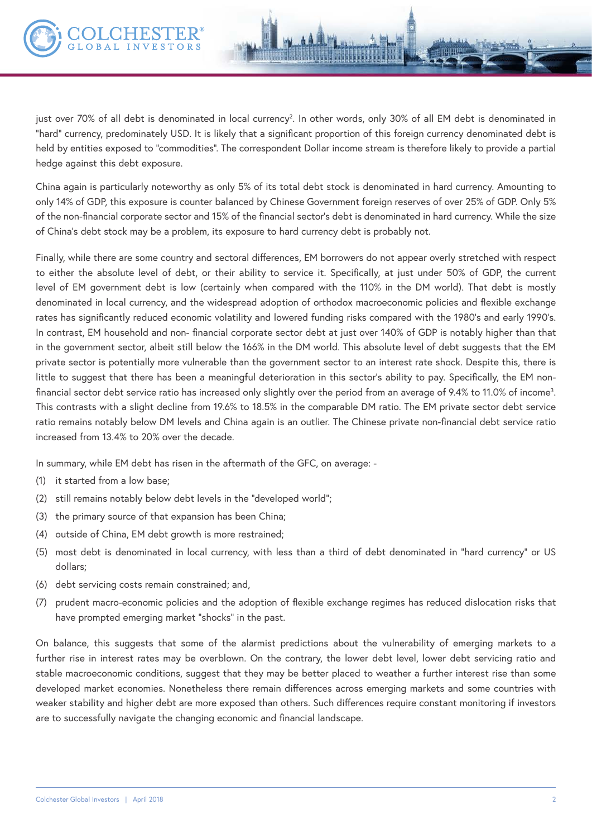China again is particularly noteworthy as only 5% of its total debt stock is denominated in hard currency. Amounting to only 14% of GDP, this exposure is counter balanced by Chinese Government foreign reserves of over 25% of GDP. Only 5% of the non-financial corporate sector and 15% of the financial sector's debt is denominated in hard currency. While the size of China's debt stock may be a problem, its exposure to hard currency debt is probably not.

Finally, while there are some country and sectoral differences, EM borrowers do not appear overly stretched with respect to either the absolute level of debt, or their ability to service it. Specifically, at just under 50% of GDP, the current level of EM government debt is low (certainly when compared with the 110% in the DM world). That debt is mostly denominated in local currency, and the widespread adoption of orthodox macroeconomic policies and flexible exchange rates has significantly reduced economic volatility and lowered funding risks compared with the 1980's and early 1990's. In contrast, EM household and non- financial corporate sector debt at just over 140% of GDP is notably higher than that in the government sector, albeit still below the 166% in the DM world. This absolute level of debt suggests that the EM private sector is potentially more vulnerable than the government sector to an interest rate shock. Despite this, there is little to suggest that there has been a meaningful deterioration in this sector's ability to pay. Specifically, the EM nonfinancial sector debt service ratio has increased only slightly over the period from an average of 9.4% to 11.0% of income3 . This contrasts with a slight decline from 19.6% to 18.5% in the comparable DM ratio. The EM private sector debt service ratio remains notably below DM levels and China again is an outlier. The Chinese private non-financial debt service ratio increased from 13.4% to 20% over the decade.

In summary, while EM debt has risen in the aftermath of the GFC, on average: -

- (1) it started from a low base;
- (2) still remains notably below debt levels in the "developed world";
- (3) the primary source of that expansion has been China;
- (4) outside of China, EM debt growth is more restrained;
- (5) most debt is denominated in local currency, with less than a third of debt denominated in "hard currency" or US dollars;
- (6) debt servicing costs remain constrained; and,
- (7) prudent macro-economic policies and the adoption of flexible exchange regimes has reduced dislocation risks that have prompted emerging market "shocks" in the past.

On balance, this suggests that some of the alarmist predictions about the vulnerability of emerging markets to a further rise in interest rates may be overblown. On the contrary, the lower debt level, lower debt servicing ratio and stable macroeconomic conditions, suggest that they may be better placed to weather a further interest rise than some developed market economies. Nonetheless there remain differences across emerging markets and some countries with weaker stability and higher debt are more exposed than others. Such differences require constant monitoring if investors are to successfully navigate the changing economic and financial landscape.